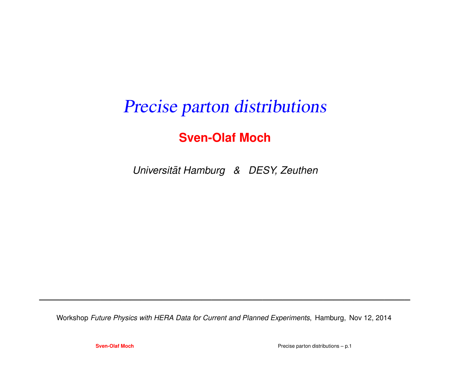# Precise parton distributions

#### **Sven-Olaf Moch**

*Universitat Hamburg & DESY, Zeuthen ¨*

Workshop *Future Physics with HERA Data for Current and Planned Experiments*, Hamburg, Nov 12, 2014

**Sven-Olaf Moch**

Precise parton distributions – p.1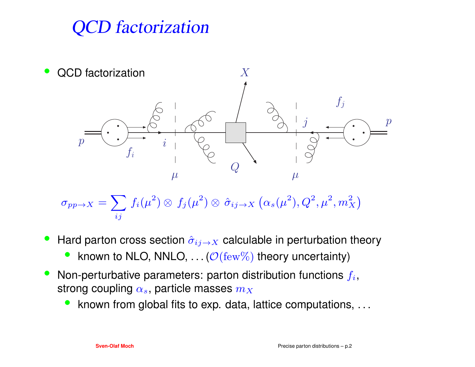## CD factorization



$$
\sigma_{pp \to X} = \sum_{ij} \, f_i(\mu^2) \otimes \, f_j(\mu^2) \otimes \, \hat{\sigma}_{ij \to X} \, \big( \alpha_s(\mu^2), Q^2, \mu^2, m_X^2 \big)
$$

- $\bullet$ • Hard parton cross section  $\hat{\sigma}_{ij\rightarrow X}$  calculable in perturbation theory
	- •• known to NLO, NNLO,  $\ldots$  ( $\mathcal{O}(\text{few}\%)$  theory uncertainty)
- $\bullet$ • Non-perturbative parameters: parton distribution functions  $f_i$ , strong coupling  $\alpha_s$ , particle masses  $m_X$ 
	- known from global fits to exp. data, lattice computations, ...  $\bullet$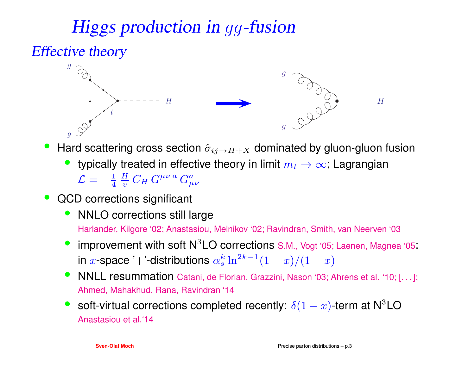# Higgs production in gg-fusion

#### Effective theory



- •• Hard scattering cross section  $\hat{\sigma}_{ij\to H+X}$  dominated by gluon-gluon fusion
	- typically treated in effective theory in limit  $m_t \to \infty$ ; Lagrangian  ${\cal L} = -\frac{1}{4} \, \frac{H}{v} \, C_H \, G^{\mu \nu \, a} \, G^a_{\mu \nu}$
- • QCD corrections significant
	- $\bullet$  NNLO corrections still largeHarlander, Kilgore '02; Anastasiou, Melnikov '02; Ravindran, Smith, van Neerven '03
	- •• improvement with soft  $N^3LO$  corrections S.M., Vogt '05; Laenen, Magnea '05: in  $x$ -space '+'-distributions  $\alpha_s^k \ln^{2k-1}(1-x)/(1-x)$
	- •**• NNLL resummation Catani, de Florian, Grazzini, Nason '03; Ahrens et al. '10; [...];** Ahmed, Mahakhud, Rana, Ravindran '14
	- $\bullet$ • soft-virtual corrections completed recently:  $\delta(1-x)$ -term at N<sup>3</sup>LO Anastasiou et al.'14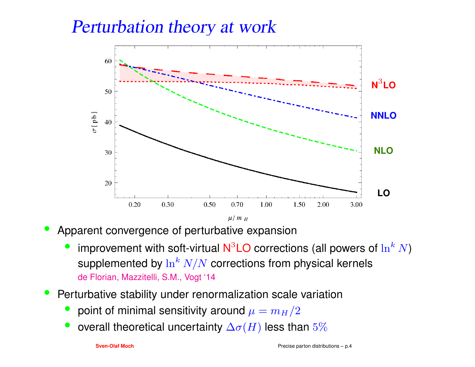### Perturbation theory at work



- • Apparent convergence of perturbative expansion
	- •• improvement with soft-virtual  $N^3LO$  corrections (all powers of  $\ln^k$ supplemented by  $\ln^k N/N$  corrections from physical kernels<br>de Flatian Marritalli, S.M. Nart (14  $^{\kappa}$  N) de Florian, Mazzitelli, S.M., Vogt '14
- • Perturbative stability under renormalization scale variation
	- • $\bullet~$  point of minimal sensitivity around  $\mu=m_H/2$
	- $\bullet$  overall theoretical uncertainty  $\Delta \sigma(H)$  less than  $5\%$ •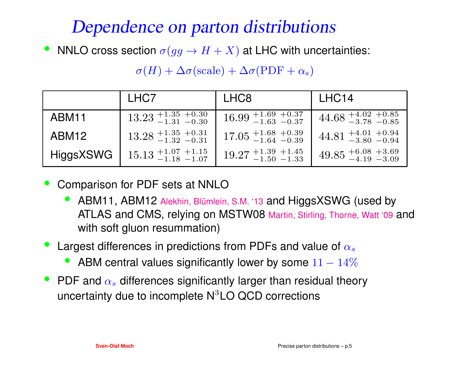### Dependence on parton distributions

•• NNLO cross section  $\sigma(gg\to H+X)$  at LHC with uncertainties:

|                   | LHC7                                      | LHC <sub>8</sub>                                          | LHC <sub>14</sub>                                                             |
|-------------------|-------------------------------------------|-----------------------------------------------------------|-------------------------------------------------------------------------------|
| ABM <sub>11</sub> | $13.23 + 1.35 + 0.30$<br>$-1.31 - 0.30$   | $16.99 + 1.69 + 0.37$<br>$-1.63 - 0.37$                   | $44.68^{+4.02}_{-3.78}~^{+0.85}_{-0.85}$                                      |
| ABM <sub>12</sub> | $13.28 + 1.35 + 0.31$<br>$-1.32 - 0.31$   | $17.05 + 1.68 + 0.39$<br>$-1.64 - 0.39$                   | $44.81_{\phantom{0}-3.80\phantom{0}-0.94}^{\phantom{0}+4.01\phantom{0}+0.94}$ |
| <b>HiggsXSWG</b>  | $15.13_{\,-1.18\,-1.07}^{\,+1.07\,+1.15}$ | $19.27 \begin{array}{l} +1.39 \\ -1.50 \end{array}$ +1.45 | $49.85_{\,-4.19\,-3.09}^{\,+6.08\,+3.69}$                                     |

 $\sigma(H) + \Delta \sigma(\text{scale}) + \Delta \sigma(\text{PDF} + \alpha_{\text{s}})$ 

- • Comparison for PDF sets at NNLO
	- ABM11, ABM12 Alekhin, Blümlein, S.M. '13 and HiggsXSWG (used by •ATLAS and CMS, relying on MSTW08 Martin, Stirling, Thorne, Watt '09 and with soft gluon resummation)
- • $\bullet~$  Largest differences in predictions from PDFs and value of  $\alpha_s$ 
	- ABM central values significantly lower by some  $11 14$ • $-14%$
- PDF and  $\alpha_s$  differences significantly larger than residual theory  $\bullet$ uncertainty due to incomplete  $\mathsf{N}^3\mathsf{LO}$  QCD corrections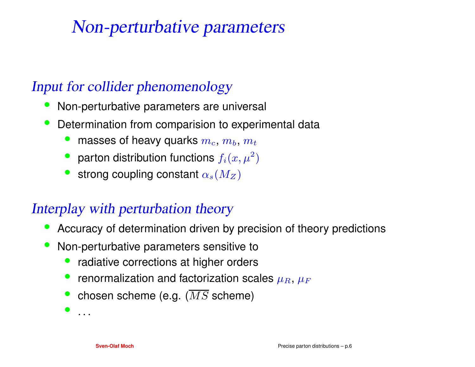### Non-perturbative parameters

#### Input for collider phenomenology

- •Non-perturbative parameters are universal
- $\bullet$  Determination from comparision to experimental data
	- • $\bullet~$  masses of heavy quarks  $m_c, \, m_b, \, m_t$
	- parton distribution functions  $f_i(x, \mu^2)$  $^{2})$
	- •• strong coupling constant  $\alpha_s(M_Z)$

#### Interplay with perturbation theory

- •Accuracy of determination driven by precision of theory predictions
- • Non-perturbative parameters sensitive to
	- $\bullet$ radiative corrections at higher orders
	- $\bullet\;$  renormalization and factorization scales  $\mu_R,\,\mu_F$
	- $\bullet\;$  chosen scheme (e.g.  $(MS$  scheme)

•. . .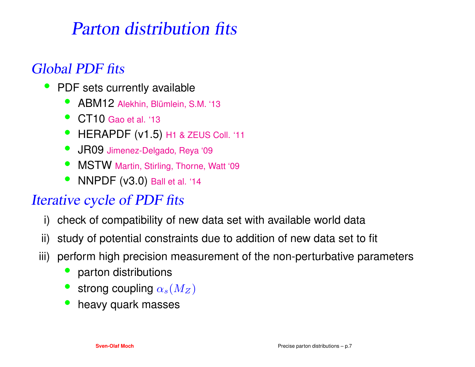### Parton distribution fits

#### Global PDF fits

- • PDF sets currently available
	- $\bullet$ ● ABM12 Alekhin, Blümlein, S.M. '13
	- $\bullet$ ● CT10 Gao et al. '13
	- $\bullet$ HERAPDF (v1.5) H1 & ZEUS Coll. '11
	- •**JR09 Jimenez-Delgado, Reya '09**
	- $\bullet$ • MSTW Martin, Stirling, Thorne, Watt '09
	- •• NNPDF (v3.0) Ball et al. '14

#### Iterative cycle of PDF fits

- i) check of compatibility of new data set with available world data
- ii) study of potential constraints due to addition of new data set to fit
- iii) perform high precision measurement of the non-perturbative parameters
	- •parton distributions
	- •• strong coupling  $\alpha_s(M_Z)$
	- heavy quark masses •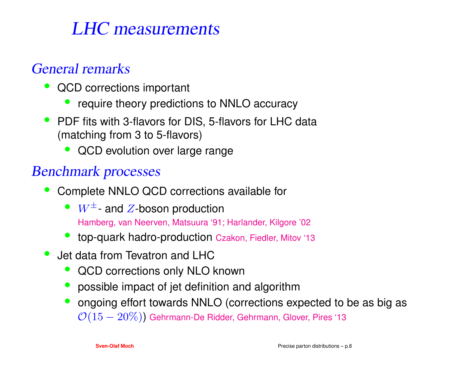### LHC measurements

#### General remarks

- • QCD corrections important
	- •require theory predictions to NNLO accuracy
- $\bullet$  PDF fits with 3-flavors for DIS, 5-flavors for LHC data(matching from 3 to 5-flavors)
	- •QCD evolution over large range

#### Benchmark processes

- • Complete NNLO QCD corrections available for
	- $W^{\pm}$  and  $Z$ -boson production Hamberg, van Neerven, Matsuura '91; Harlander, Kilgore '02
	- •top-quark hadro-production Czakon, Fiedler, Mitov '13
- • Jet data from Tevatron and LHC
	- QCD corrections only NLO known •
	- possible impact of jet definition and algorithm
	- ongoing effort towards NNLO (corrections expected to be as big as • $\mathcal{O}(15-20\%)$ ) Gehrmann-De Ridder, Gehrmann, Glover, Pires '13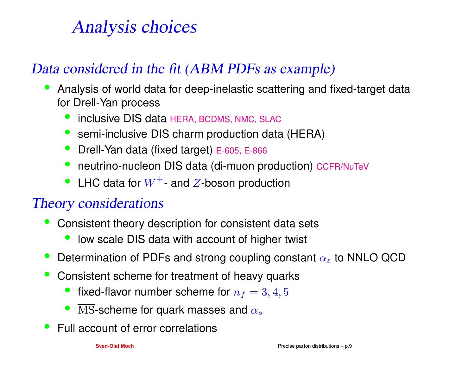# Analysis choices

#### Data considered in the fit (ABM PDFs as example)

- • Analysis of world data for deep-inelastic scattering and fixed-target datafor Drell-Yan process
	- •**•** inclusive DIS data HERA, BCDMS, NMC, SLAC
	- semi-inclusive DIS charm production data (HERA) $\bullet$
	- •**•** Drell-Yan data (fixed target) E-605, E-866
	- •neutrino-nucleon DIS data (di-muon production) CCFR/NuTeV
	- LHC data for  $W^{\pm}$  and  $Z$ -boson production

#### Theory considerations

- • Consistent theory description for consistent data sets
	- •low scale DIS data with account of higher twist
- •• Determination of PDFs and strong coupling constant  $\alpha_s$  to NNLO QCD
- • Consistent scheme for treatment of heavy quarks
	- •• fixed-flavor number scheme for  $n_f = 3, 4, 5$
	- •• MS-scheme for quark masses and  $\alpha_s$
- •Full account of error correlations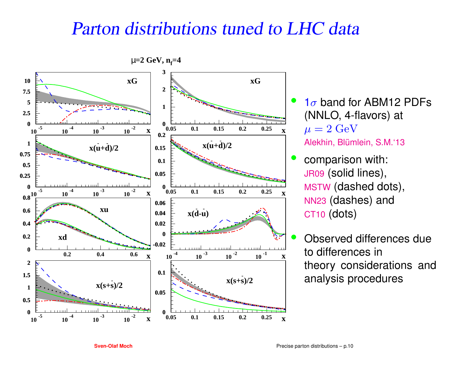### Parton distributions tuned to LHC data



- $1\sigma$  band for ABM12 PDFs (NNLO, 4-flavors) at  $\mu=2\ \text{GeV}$ Alekhin, Blümlein, S.M.'13
- comparison with: JR09 (solid lines), MSTW (dashed dots), NN23 (dashes) andCT10 (dots)
- Observed differences dueto differences in theory considerations andanalysis procedures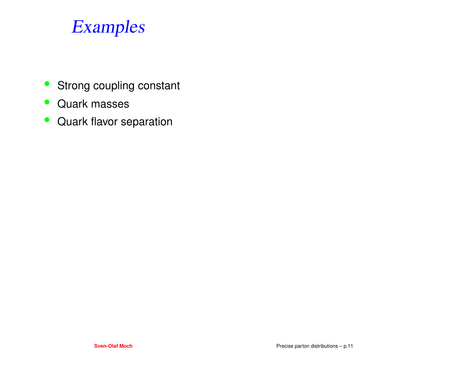### Examples

- $\bullet$ Strong coupling constant
- Quark masses
- $\bullet$ Quark flavor separation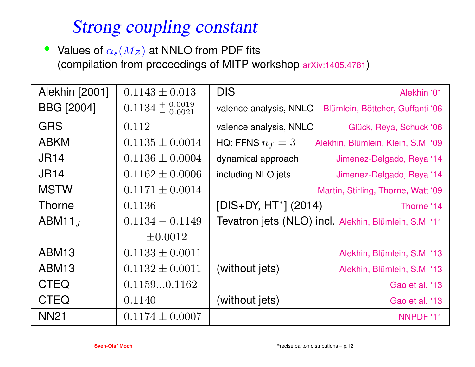### Strong coupling constant

 $\bullet$ • Values of  $\alpha_s(M_Z)$  at NNLO from PDF fits (compilation from proceedings of MITP workshop arXiv:1405.4781)

| Alekhin [2001]    | $0.1143 \pm 0.013$              | <b>DIS</b>              | Alekhin '01                                           |
|-------------------|---------------------------------|-------------------------|-------------------------------------------------------|
| <b>BBG</b> [2004] | $0.1134 + 0.0019$<br>$- 0.0021$ | valence analysis, NNLO  | Blümlein, Böttcher, Guffanti '06                      |
| <b>GRS</b>        | 0.112                           | valence analysis, NNLO  | Glück, Reya, Schuck '06                               |
| <b>ABKM</b>       | $0.1135 \pm 0.0014$             | HQ: FFNS $n_f=3$        | Alekhin, Blümlein, Klein, S.M. '09                    |
| <b>JR14</b>       | $0.1136 \pm 0.0004$             | dynamical approach      | Jimenez-Delgado, Reya '14                             |
| <b>JR14</b>       | $0.1162 \pm 0.0006$             | including NLO jets      | Jimenez-Delgado, Reya '14                             |
| <b>MSTW</b>       | $0.1171 \pm 0.0014$             |                         | Martin, Stirling, Thorne, Watt '09                    |
| <b>Thorne</b>     | 0.1136                          | $[DIS+DY, HT^*]$ (2014) | Thorne '14                                            |
| $ABM11_{J}$       | $0.1134 - 0.1149$               |                         | Tevatron jets (NLO) incl. Alekhin, Blümlein, S.M. '11 |
|                   | $\pm 0.0012$                    |                         |                                                       |
| ABM <sub>13</sub> | $0.1133 \pm 0.0011$             |                         | Alekhin, Blümlein, S.M. '13                           |
| ABM <sub>13</sub> | $0.1132 \pm 0.0011$             | (without jets)          | Alekhin, Blümlein, S.M. '13                           |
| <b>CTEQ</b>       | 0.11590.1162                    |                         | Gao et al. '13                                        |
| <b>CTEQ</b>       | 0.1140                          | (without jets)          | Gao et al. '13                                        |
| <b>NN21</b>       | $0.1174 \pm 0.0007$             |                         | NNPDF '11                                             |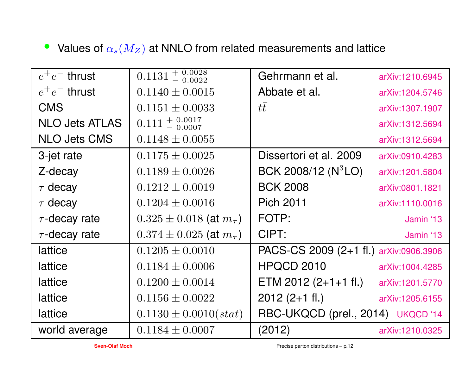• Values of  $\alpha_s(M_Z)$  at NNLO from related measurements and lattice

| $e^+e^-$ thrust       | $0.1131 + 0.0028$<br>$- 0.0022$    | Gehrmann et al.                        | arXiv:1210.6945 |
|-----------------------|------------------------------------|----------------------------------------|-----------------|
| $e^+e^-$ thrust       | $0.1140 \pm 0.0015$                | Abbate et al.                          | arXiv:1204.5746 |
| <b>CMS</b>            | $0.1151 \pm 0.0033$                | tt                                     | arXiv:1307.1907 |
| <b>NLO Jets ATLAS</b> | $0.111 + 0.0017$<br>$- 0.0007$     |                                        | arXiv:1312.5694 |
| <b>NLO Jets CMS</b>   | $0.1148 \pm 0.0055$                |                                        | arXiv:1312.5694 |
| 3-jet rate            | $0.1175 \pm 0.0025$                | Dissertori et al. 2009                 | arXiv:0910.4283 |
| Z-decay               | $0.1189 \pm 0.0026$                | BCK 2008/12 $(N^3LO)$                  | arXiv:1201.5804 |
| $\tau$ decay          | $0.1212 \pm 0.0019$                | <b>BCK 2008</b>                        | arXiv:0801.1821 |
| $\tau$ decay          | $0.1204 \pm 0.0016$                | <b>Pich 2011</b>                       | arXiv:1110.0016 |
| $\tau$ -decay rate    | $0.325 \pm 0.018$ (at $m_{\tau}$ ) | FOTP:                                  | Jamin '13       |
| $\tau$ -decay rate    | $0.374 \pm 0.025$ (at $m_{\tau}$ ) | CIPT:                                  | Jamin '13       |
| lattice               | $0.1205 \pm 0.0010$                | PACS-CS 2009 (2+1 fl.) arXiv:0906.3906 |                 |
| lattice               | $0.1184 \pm 0.0006$                | HPQCD 2010                             | arXiv:1004.4285 |
| lattice               | $0.1200 \pm 0.0014$                | ETM 2012 (2+1+1 fl.) arXiv:1201.5770   |                 |
| lattice               | $0.1156 \pm 0.0022$                | $2012(2+1$ fl.)                        | arXiv:1205.6155 |
| lattice               | $0.1130 \pm 0.0010(stat)$          | RBC-UKQCD (prel., 2014) UKQCD '14      |                 |
| world average         | $0.1184 \pm 0.0007$                | (2012)                                 | arXiv:1210.0325 |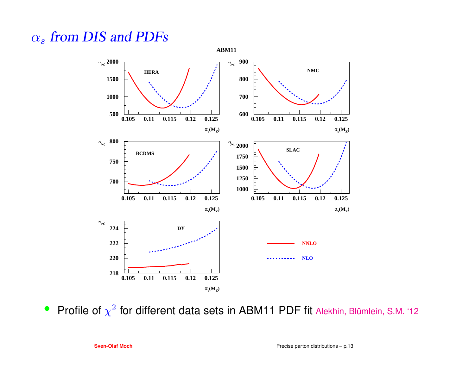#### αT  $\alpha_s$  from DIS and PDFs



 $\bullet$ Profile of  $\chi^2$  for different data sets in ABM11 PDF fit Alekhin, Blümlein, S.M. '12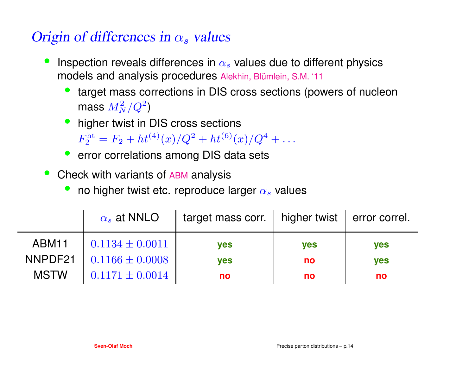#### of differences in  $\alpha$  volues Origin of differences in  $\alpha_s$  values

- $\bullet$ **Inspection reveals differences in**  $\alpha_s$  **values due to different physics**  models and analysis procedures Alekhin, Blümlein, S.M. '11
	- target mass corrections in DIS cross sections (powers of nucleon mass  $M_\Lambda^2$  $\boldsymbol{N}$  $\frac{2}{N}/Q^2$  $\mathbf{z})$
	- higher twist in DIS cross sections • $F_2^{\text{ht}} = F_2 + ht^{(4)}(x)/Q^2 + ht^{(6)}(x)$  $R_2^{\text{ht}} = F_2 + ht^{(4)}(x)/Q^2$  $^{2}+ht^{(6)}(x)/Q^{4}$  $^+$  + . . .
	- error correlations among DIS data sets
- •• Check with variants of ABM analysis
	- •• no higher twist etc. reproduce larger  $\alpha_s$  values

|             | $\alpha_s$ at NNLO  | target mass corr.   higher twist $\vert$ error correl. |            |            |
|-------------|---------------------|--------------------------------------------------------|------------|------------|
| ABM11       | $0.1134 \pm 0.0011$ | <b>ves</b>                                             | <b>yes</b> | <b>ves</b> |
| NNPDF21     | $0.1166 \pm 0.0008$ | <b>ves</b>                                             | no         | <b>yes</b> |
| <b>MSTW</b> | $0.1171 \pm 0.0014$ | no                                                     | no         | no         |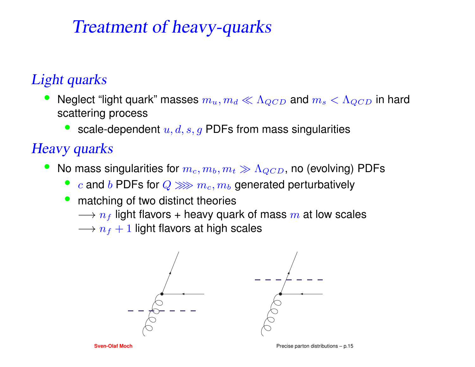### Treatment of heavy-quarks

#### Light quarks

- •• Neglect "light quark" masses  $m_u, m_d \ll \Lambda_{QCD}$  and  $m_s < \Lambda_{QCD}$  in hard scattering process
	- •scale-dependent  $u, d, s, g$  PDFs from mass singularities

#### Heavy quarks

- •• No mass singularities for  $m_c, m_b, m_t \gg \Lambda_{QCD}$ , no (evolving) PDFs
	- c and  $b$  PDFs for  $Q \ggg m_c, m_b$  generated perturbatively •
	- matching of two distinct theories • $\longrightarrow n_f$  light flavors + heavy quark of mass  $m$  at low scales  $\longrightarrow n_f + 1$  light flavors at high scales

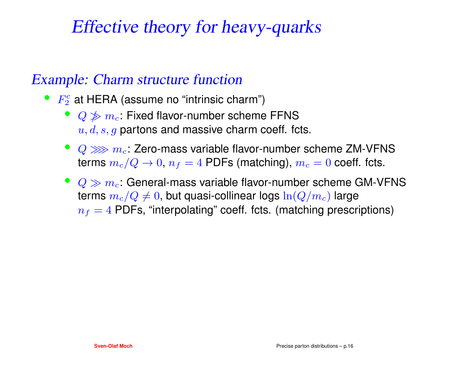### Effective theory for heavy-quarks

#### Example: Charm structure function

- $\bullet~~F_2^c$  at HERA (assume no "intrinsic charm")
	- $Q \not\gg m_c$ : Fixed flavor-number scheme FFNS  $u,d,s,g$  partons and massive charm coeff. fcts.
	- $Q \ggg m_c$ : Zero-mass variable flavor-number scheme ZM-VFNS<br>terms  $m_c$  /Q + 0 m = 4 RDFs (metering) me = 0 seeff fetc terms  $m_c/Q\rightarrow 0$ ,  $n_f=4$  PDFs (matching),  $m_c=0$  coeff. fcts.
	- $\bullet \ \ Q \gg m_c$ : General-mass variable flavor-number scheme GM-VFNS terms  $m_c/Q\neq0$ , but quasi-collinear logs  $\ln(Q/m_c)$  large  $n_f = 4$  PDFs, "interpolating" coeff. fcts. (matching prescriptions)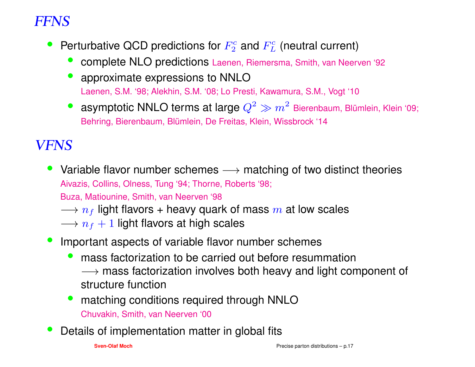#### FFNS

- •Perturbative QCD predictions for  $F_2^c$  and  $F_L^c$  (neutral current)
	- •complete NLO predictions Laenen, Riemersma, Smith, van Neerven '92
	- • approximate expressions to NNLOLaenen, S.M. '98; Alekhin, S.M. '08; Lo Presti, Kawamura, S.M., Vogt '10
	- **asymptotic NNLO terms at large**  $Q^2 \gg m^2$  Bierenbaum, Blümlein, Klein '09;<br>Behring Bierenbaum, Blümlein, De Freitas, Klein, Wissbrock '14 •Behring, Bierenbaum, Blümlein, De Freitas, Klein, Wissbrock '14

#### VFNS

Aivazis, Collins, Olness, Tung '94; Thorne, Roberts '98; • Variable flavor number schemes  $\longrightarrow$  matching of two distinct theories<br>Aivazis Collins Olness Tung '94: Thorne Boberts '98:

Buza, Matiounine, Smith, van Neerven '98

- $\longrightarrow n_f$  light flavors + heavy quark of mass  $m$  at low scales<br> $\longrightarrow n_f + 1$  light flavors at high scales
- $\longrightarrow n_f+1$  light flavors at high scales
- • Important aspects of variable flavor number schemes
	- • mass factorization to be carried out before resummation→ mass factorization involves both heavy and light component of<br>structure function structure function
	- • matching conditions required through NNLOChuvakin, Smith, van Neerven '00
- •Details of implementation matter in global fits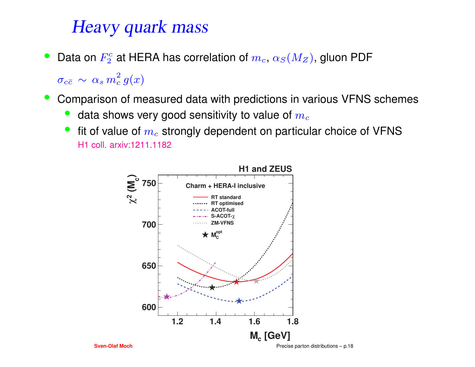### Heavy quark mass

• $\bullet$  Data on  $F_2^c$  at HERA has correlation of  $m_c,$   $\alpha_S(M_Z)$ , gluon PDF

 $\sigma_{c\bar{c}}\, \sim\, \alpha_s\, m$ 2 $\frac{2}{c} g(x)$ 

- $\bullet$  Comparison of measured data with predictions in various VFNS schemes
	- •data shows very good sensitivity to value of  $m_c$
	- •• fit of value of  $m_c$  strongly dependent on particular choice of VFNS H1 coll. arxiv:1211.1182



Precise parton distributions – p.18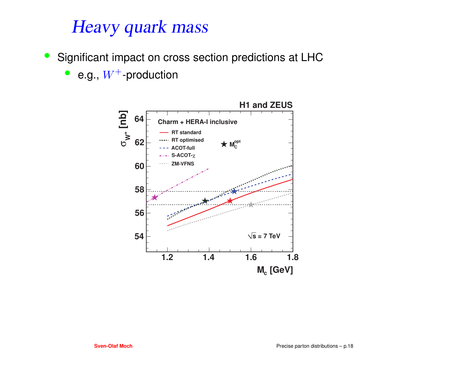### Heavy quark mass

- $\bullet$  Significant impact on cross section predictions at LHC
	- e.g.,  $W^+$ -production

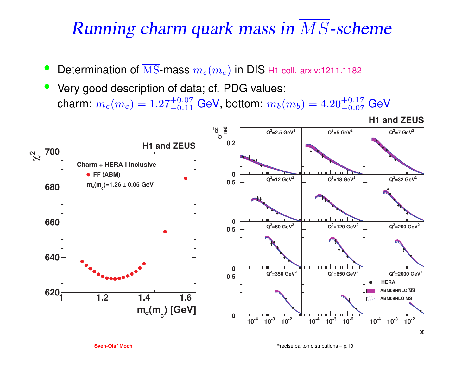# Running charm quark mass in MS-scheme

- •• Determination of MS-mass  $m_c(m_c)$  in DIS H1 coll. arxiv:1211.1182
- Very good description of data; cf. PDG values: •charm:  $m_c(m_c) = 1.27^{+0.07}_{-0.11}$  GeV, bottom:  $m_b(m_b) = 4.20^{+0.17}_{-0.07}$  GeV

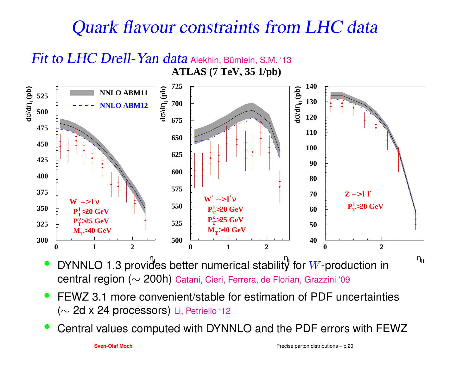## Quark flavour constraints from LHC data



**•** DYNNLO 1.3 provides better numerical stability for W-production in • $\,$ cen $\,$ tra $\,$ l r $\,$ egion ( $\sim 200$ h $)\,$  Ca $\,$ tani, Cieri, Ferrera, de Florian, Grazzini '09

- $\bullet$  FEWZ 3.1 more convenient/stable for estimation of PDF uncertainties( $\sim$  2d x 24 processors) Li, Petriello '12
- •Central values computed with DYNNLO and the PDF errors with FEWZ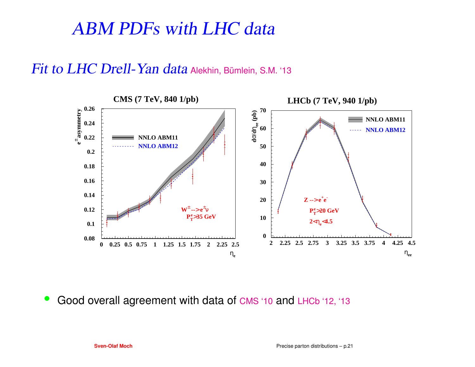### ABM PDFs with LHC data

#### $Fit$  to  $LHC$   $Drell$ -  $Yan$   $data$  Alekhin, Bümlein, S.M. '13



•• Good overall agreement with data of CMS '10 and LHCb '12, '13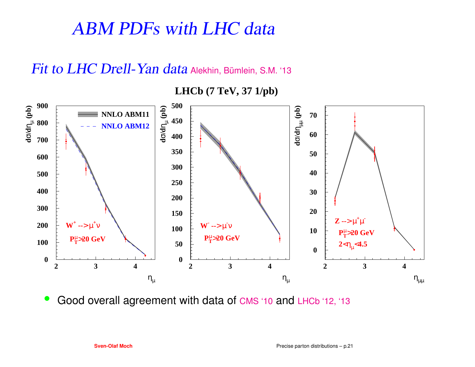### ABM PDFs with LHC data

#### $Fit$  to  $LHC$   $Drell$ -  $Yan$   $data$  Alekhin, Bümlein, S.M. '13

**01002003004005006007008009002 3 4** $\eta_{\mu}$ **d**σ**/d**ηµ  **(pb) W+ --**>µ**+** ν**PT**µ >**20 GeVNNLO ABM11NNLO ABM120501001502002503003504004505002 3 4** $\eta_{\mu}$ **d**σ**/d**ηµ  **(pb) W- --**>µ**-** ν**PT**µ >**20 GeV0102030405060702 3 4** $\eta_{\mu\mu}$ **d**σ**/d**ηµµ  **(pb) Z --**>µ**+** µ**-**  $P_T^{\mu} > 20 \text{ GeV}$ **2**<ηµ<**4.5**

**LHCb (7 TeV, 37 1/pb)**

 $\bullet$ • Good overall agreement with data of CMS '10 and LHCb '12, '13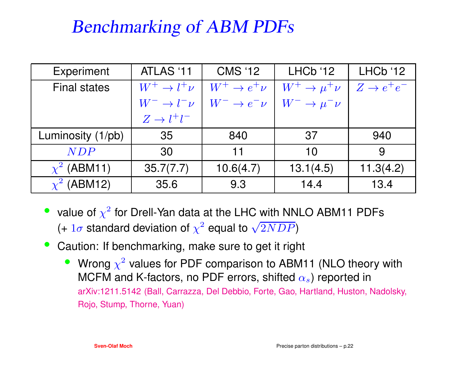## Benchmarking of ABM PDFs

| Experiment          | ATLAS '11                 | <b>CMS '12</b>            | LHCb'12                     | LHCb '12               |
|---------------------|---------------------------|---------------------------|-----------------------------|------------------------|
| <b>Final states</b> | $W^+ \rightarrow l^+ \nu$ | $W^+ \rightarrow e^+ \nu$ | $W^+ \rightarrow \mu^+ \nu$ | $Z \rightarrow e^+e^-$ |
|                     | $W^- \to l^- \nu$         | $W^- \rightarrow e^- \nu$ | $W^- \to \mu^- \nu$         |                        |
|                     | $Z \rightarrow l^+l^-$    |                           |                             |                        |
| Luminosity (1/pb)   | 35                        | 840                       | .37                         | 940                    |
| <b>NDP</b>          | 30                        | $11$                      | 10                          | 9                      |
| $\chi^2$ (ABM11)    | 35.7(7.7)                 | 10.6(4.7)                 | 13.1(4.5)                   | 11.3(4.2)              |
| $\chi^2$ (ABM12)    | 35.6                      | 9.3                       | 14.4                        | 13.4                   |

- value of  $\chi^2$  for Drell-Yan data at the LHC with NNLO ABM11 PDFs (+  $1\sigma$  standard deviation of  $\chi^2$  equal to  $\sqrt{2NDP}$ )
- $\bullet$  Caution: If benchmarking, make sure to get it right
	- •• Wrong  $\chi^2$  values for PDF comparison to ABM11 (NLO theory with MCFM and K-factors, no PDF errors, shifted  $\alpha_s$ ) reported in arXiv:1211.5142 (Ball, Carrazza, Del Debbio, Forte, Gao, Hartland, Huston, Nadolsky, Rojo, Stump, Thorne, Yuan)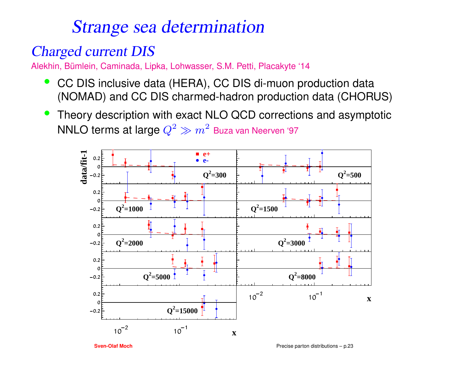### Strange sea determination

#### Charged current DIS

Alekhin, Bümlein, Caminada, Lipka, Lohwasser, S.M. Petti, Placakyte '14

- $\bullet$  CC DIS inclusive data (HERA), CC DIS di-muon production data(NOMAD) and CC DIS charmed-hadron production data (CHORUS)
- • Theory description with exact NLO QCD corrections and asymptoticNNLO terms at large  $Q^2$  $^2 \gg m^2$  Buza van Neerven '97

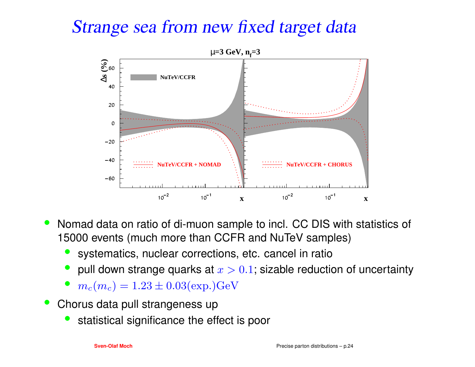### Strange sea from new fixed target data



- • Nomad data on ratio of di-muon sample to incl. CC DIS with statistics of 15000 events (much more than CCFR and NuTeV samples)
	- •systematics, nuclear corrections, etc. cancel in ratio
	- • $\bullet\;$  pull down strange quarks at  $x>0.1;$  sizable reduction of uncertainty
	- $m_c(m_c) = 1.23 \pm 0.03 \text{(exp.)} \text{GeV}$ •
- Chorus data pull strangeness up
	- •statistical significance the effect is poor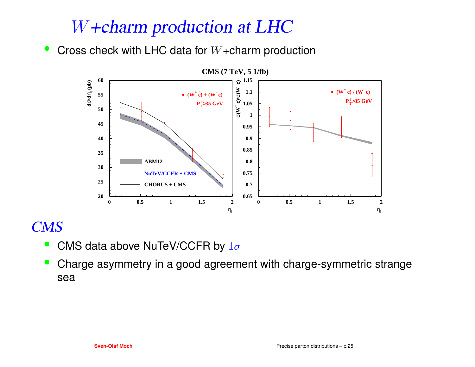### W+charm production at LHC

Cross check with LHC data for  $W+$ charm production  $\bullet$ 



#### CMS

- •• CMS data above NuTeV/CCFR by  $1\sigma$
- • Charge asymmetry in <sup>a</sup> good agreement with charge-symmetric strangesea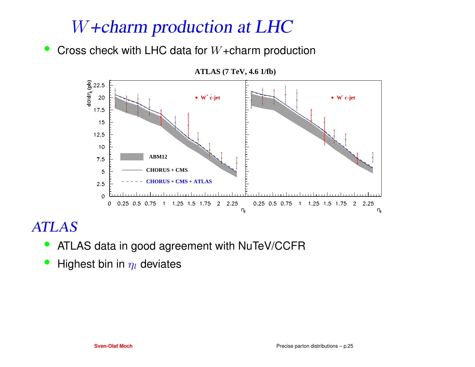### W+charm production at LHC

• Cross check with LHC data for  $W+$ charm production



#### ATLAS

- ATLAS data in good agreement with NuTeV/CCFR $\bullet$
- $\bullet$ • Highest bin in  $\eta_l$  deviates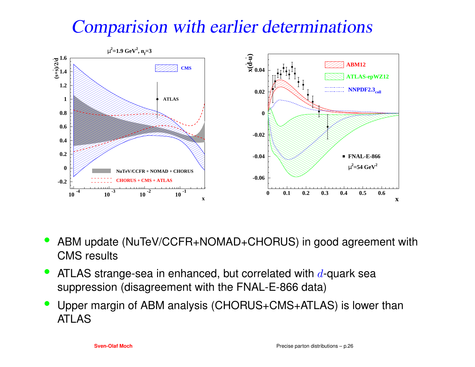## Comparision with earlier determinations



- • ABM update (NuTeV/CCFR+NOMAD+CHORUS) in good agreement withCMS results
- •• ATLAS strange-sea in enhanced, but correlated with  $d$ -quark sea suppression (disagreement with the FNAL-E-866 data)
- • Upper margin of ABM analysis (CHORUS+CMS+ATLAS) is lower thanATLAS